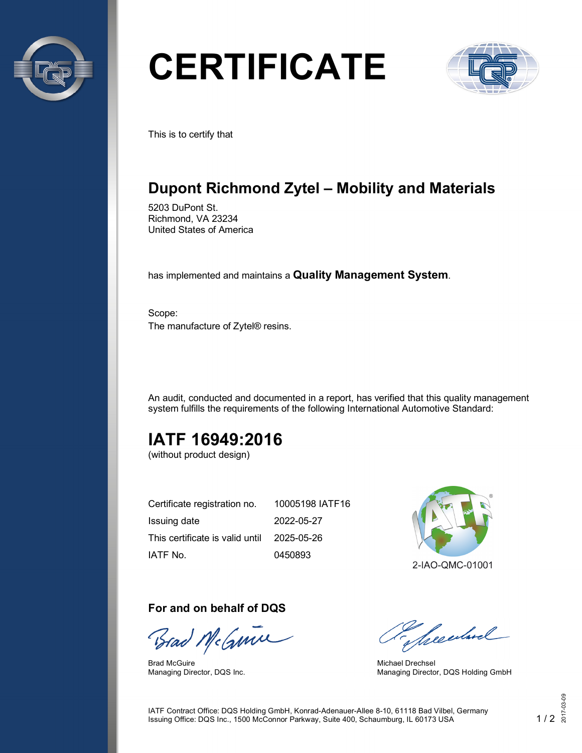

# **CERTIFICATE**



This is to certify that

## **Dupont Richmond Zytel – Mobility and Materials**

5203 DuPont St. Richmond, VA 23234 United States of America

has implemented and maintains a **Quality Management System**.

Scope: The manufacture of Zytel® resins.

An audit, conducted and documented in a report, has verified that this quality management system fulfills the requirements of the following International Automotive Standard:

## **IATF 16949:2016**

(without product design)

| Certificate registration no.               | 10005198 IATF16 |
|--------------------------------------------|-----------------|
| Issuing date                               | 2022-05-27      |
| This certificate is valid until 2025-05-26 |                 |
| IATF No.                                   | 0450893         |



#### **For and on behalf of DQS**

Brad McGume

Brad McGuire Managing Director, DQS Inc.

presentand

Michael Drechsel Managing Director, DQS Holding GmbH

IATF Contract Office: DQS Holding GmbH, Konrad-Adenauer-Allee 8-10, 61118 Bad Vilbel, Germany Issuing Office: DQS Inc., 1500 McConnor Parkway, Suite 400, Schaumburg, IL 60173 USA